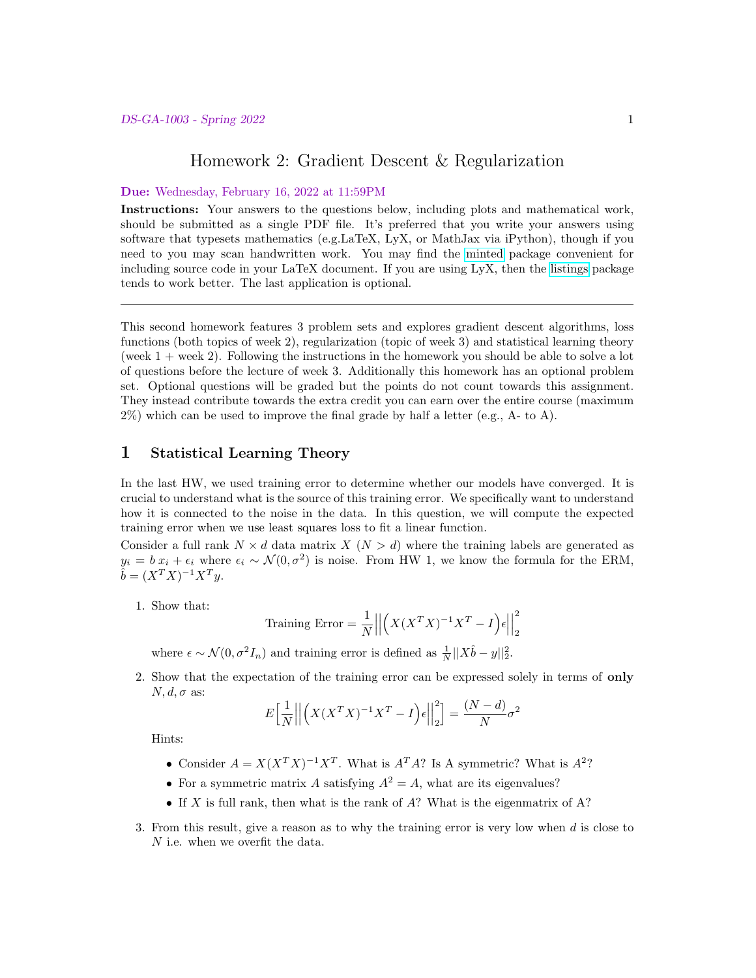# Homework 2: Gradient Descent & Regularization

#### Due: Wednesday, February 16, 2022 at 11:59PM

Instructions: Your answers to the questions below, including plots and mathematical work, should be submitted as a single PDF file. It's preferred that you write your answers using software that typesets mathematics (e.g.LaTeX, LyX, or MathJax via iPython), though if you need to you may scan handwritten work. You may find the [minted](https://github.com/gpoore/minted) package convenient for including source code in your LaTeX document. If you are using LyX, then the [listings](https://en.wikibooks.org/wiki/LaTeX/Source_Code_Listings) package tends to work better. The last application is optional.

This second homework features 3 problem sets and explores gradient descent algorithms, loss functions (both topics of week 2), regularization (topic of week 3) and statistical learning theory (week  $1 +$  week 2). Following the instructions in the homework you should be able to solve a lot of questions before the lecture of week 3. Additionally this homework has an optional problem set. Optional questions will be graded but the points do not count towards this assignment. They instead contribute towards the extra credit you can earn over the entire course (maximum  $2\%$ ) which can be used to improve the final grade by half a letter (e.g., A- to A).

# 1 Statistical Learning Theory

In the last HW, we used training error to determine whether our models have converged. It is crucial to understand what is the source of this training error. We specifically want to understand how it is connected to the noise in the data. In this question, we will compute the expected training error when we use least squares loss to fit a linear function.

Consider a full rank  $N \times d$  data matrix  $X (N > d)$  where the training labels are generated as  $y_i = b x_i + \epsilon_i$  where  $\epsilon_i \sim \mathcal{N}(0, \sigma^2)$  is noise. From HW 1, we know the formula for the ERM,  $\hat{b} = (X^T X)^{-1} X^T y.$ 

1. Show that:

Training Error = 
$$
\frac{1}{N} \left| \left| \left( X(X^T X)^{-1} X^T - I \right) \epsilon \right| \right|_2^2
$$

where  $\epsilon \sim \mathcal{N}(0, \sigma^2 I_n)$  and training error is defined as  $\frac{1}{N} ||X\hat{b} - y||_2^2$ .

2. Show that the expectation of the training error can be expressed solely in terms of only  $N, d, \sigma$  as:

$$
E\left[\frac{1}{N}\middle|\middle|\left(X(X^TX)^{-1}X^T - I\right)\epsilon\middle|\middle|\right]_2^2\right] = \frac{(N-d)}{N}\sigma^2
$$

Hints:

- Consider  $A = X(X^T X)^{-1} X^T$ . What is  $A^T A$ ? Is A symmetric? What is  $A^2$ ?
- For a symmetric matrix A satisfying  $A^2 = A$ , what are its eigenvalues?
- If X is full rank, then what is the rank of  $A$ ? What is the eigenmatrix of  $A$ ?
- 3. From this result, give a reason as to why the training error is very low when  $d$  is close to  $\cal N$  i.e. when we overfit the data.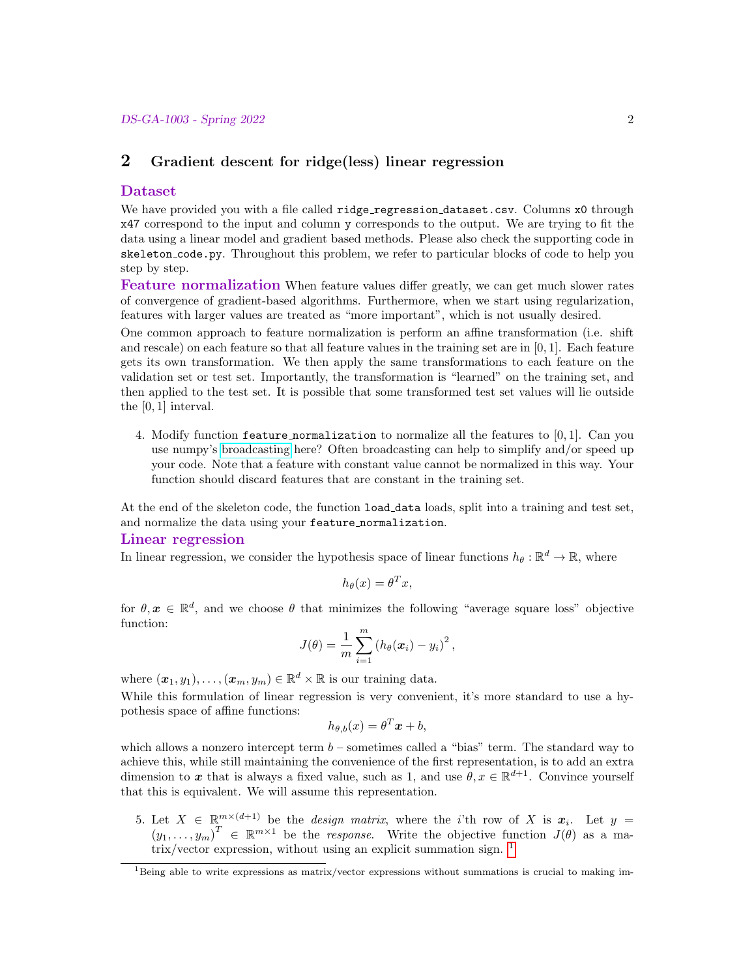# 2 Gradient descent for ridge(less) linear regression

### Dataset

We have provided you with a file called ridge regression dataset.csv. Columns x0 through x47 correspond to the input and column y corresponds to the output. We are trying to fit the data using a linear model and gradient based methods. Please also check the supporting code in skeleton code.py. Throughout this problem, we refer to particular blocks of code to help you step by step.

Feature normalization When feature values differ greatly, we can get much slower rates of convergence of gradient-based algorithms. Furthermore, when we start using regularization, features with larger values are treated as "more important", which is not usually desired.

One common approach to feature normalization is perform an affine transformation (i.e. shift and rescale) on each feature so that all feature values in the training set are in [0, 1]. Each feature gets its own transformation. We then apply the same transformations to each feature on the validation set or test set. Importantly, the transformation is "learned" on the training set, and then applied to the test set. It is possible that some transformed test set values will lie outside the [0, 1] interval.

4. Modify function feature normalization to normalize all the features to  $[0, 1]$ . Can you use numpy's [broadcasting](https://docs.scipy.org/doc/numpy/user/basics.broadcasting.html) here? Often broadcasting can help to simplify and/or speed up your code. Note that a feature with constant value cannot be normalized in this way. Your function should discard features that are constant in the training set.

At the end of the skeleton code, the function load data loads, split into a training and test set, and normalize the data using your feature normalization.

### Linear regression

In linear regression, we consider the hypothesis space of linear functions  $h_{\theta} : \mathbb{R}^d \to \mathbb{R}$ , where

$$
h_{\theta}(x) = \theta^T x,
$$

for  $\theta, \mathbf{x} \in \mathbb{R}^d$ , and we choose  $\theta$  that minimizes the following "average square loss" objective function:

$$
J(\theta) = \frac{1}{m} \sum_{i=1}^{m} (h_{\theta}(\boldsymbol{x}_i) - y_i)^2,
$$

where  $(\boldsymbol{x}_1, y_1), \ldots, (\boldsymbol{x}_m, y_m) \in \mathbb{R}^d \times \mathbb{R}$  is our training data.

While this formulation of linear regression is very convenient, it's more standard to use a hypothesis space of affine functions:

$$
h_{\theta,b}(x) = \theta^T x + b,
$$

which allows a nonzero intercept term  $b$  – sometimes called a "bias" term. The standard way to achieve this, while still maintaining the convenience of the first representation, is to add an extra dimension to x that is always a fixed value, such as 1, and use  $\theta, x \in \mathbb{R}^{d+1}$ . Convince yourself that this is equivalent. We will assume this representation.

5. Let  $X \in \mathbb{R}^{m \times (d+1)}$  be the *design matrix*, where the *i*'th row of X is  $x_i$ . Let  $y =$  $(y_1,\ldots,y_m)^T \in \mathbb{R}^{m\times 1}$  be the *response*. Write the objective function  $J(\theta)$  as a matrix/vector expression, without using an explicit summation sign. [1](#page-1-0)

<span id="page-1-0"></span> $1^1$ Being able to write expressions as matrix/vector expressions without summations is crucial to making im-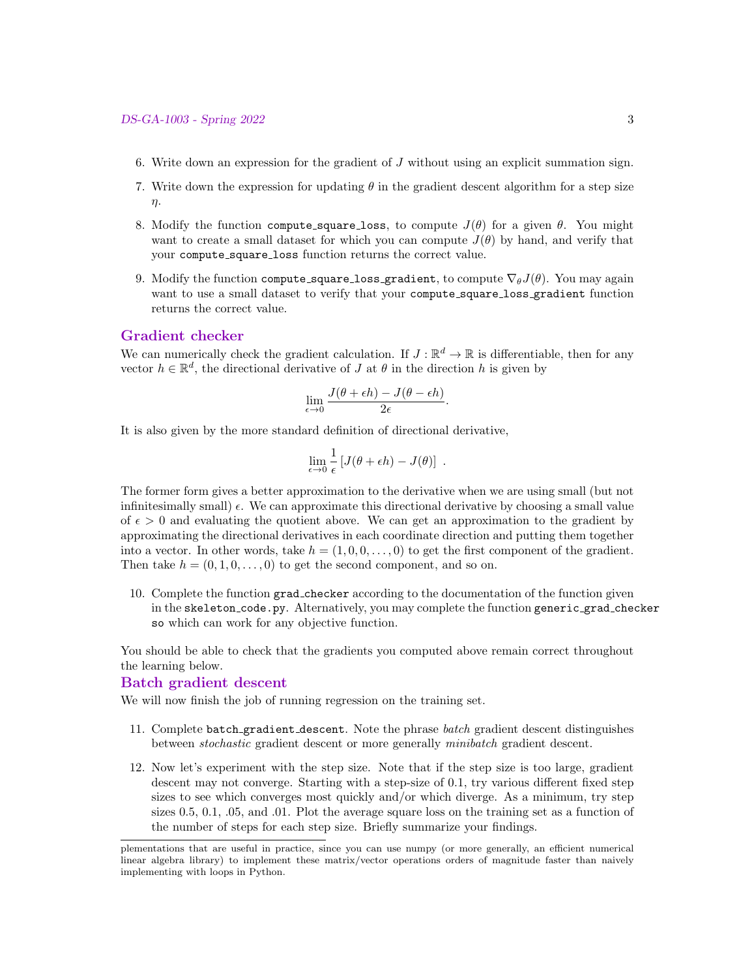- 6. Write down an expression for the gradient of J without using an explicit summation sign.
- 7. Write down the expression for updating  $\theta$  in the gradient descent algorithm for a step size η.
- 8. Modify the function compute square loss, to compute  $J(\theta)$  for a given  $\theta$ . You might want to create a small dataset for which you can compute  $J(\theta)$  by hand, and verify that your compute square loss function returns the correct value.
- 9. Modify the function compute\_square\_loss\_gradient, to compute  $\nabla_{\theta}J(\theta)$ . You may again want to use a small dataset to verify that your compute\_square\_loss\_gradient function returns the correct value.

## Gradient checker

We can numerically check the gradient calculation. If  $J : \mathbb{R}^d \to \mathbb{R}$  is differentiable, then for any vector  $h \in \mathbb{R}^d$ , the directional derivative of J at  $\theta$  in the direction h is given by

$$
\lim_{\epsilon \to 0} \frac{J(\theta + \epsilon h) - J(\theta - \epsilon h)}{2\epsilon}.
$$

It is also given by the more standard definition of directional derivative,

$$
\lim_{\epsilon \to 0} \frac{1}{\epsilon} [J(\theta + \epsilon h) - J(\theta)] .
$$

The former form gives a better approximation to the derivative when we are using small (but not infinitesimally small)  $\epsilon$ . We can approximate this directional derivative by choosing a small value of  $\epsilon > 0$  and evaluating the quotient above. We can get an approximation to the gradient by approximating the directional derivatives in each coordinate direction and putting them together into a vector. In other words, take  $h = (1, 0, 0, \ldots, 0)$  to get the first component of the gradient. Then take  $h = (0, 1, 0, \ldots, 0)$  to get the second component, and so on.

10. Complete the function grad checker according to the documentation of the function given in the skeleton\_code.py. Alternatively, you may complete the function generic\_grad\_checker so which can work for any objective function.

You should be able to check that the gradients you computed above remain correct throughout the learning below.

#### Batch gradient descent

We will now finish the job of running regression on the training set.

- 11. Complete batch gradient descent. Note the phrase batch gradient descent distinguishes between stochastic gradient descent or more generally minibatch gradient descent.
- 12. Now let's experiment with the step size. Note that if the step size is too large, gradient descent may not converge. Starting with a step-size of 0.1, try various different fixed step sizes to see which converges most quickly and/or which diverge. As a minimum, try step sizes 0.5, 0.1, .05, and .01. Plot the average square loss on the training set as a function of the number of steps for each step size. Briefly summarize your findings.

plementations that are useful in practice, since you can use numpy (or more generally, an efficient numerical linear algebra library) to implement these matrix/vector operations orders of magnitude faster than naively implementing with loops in Python.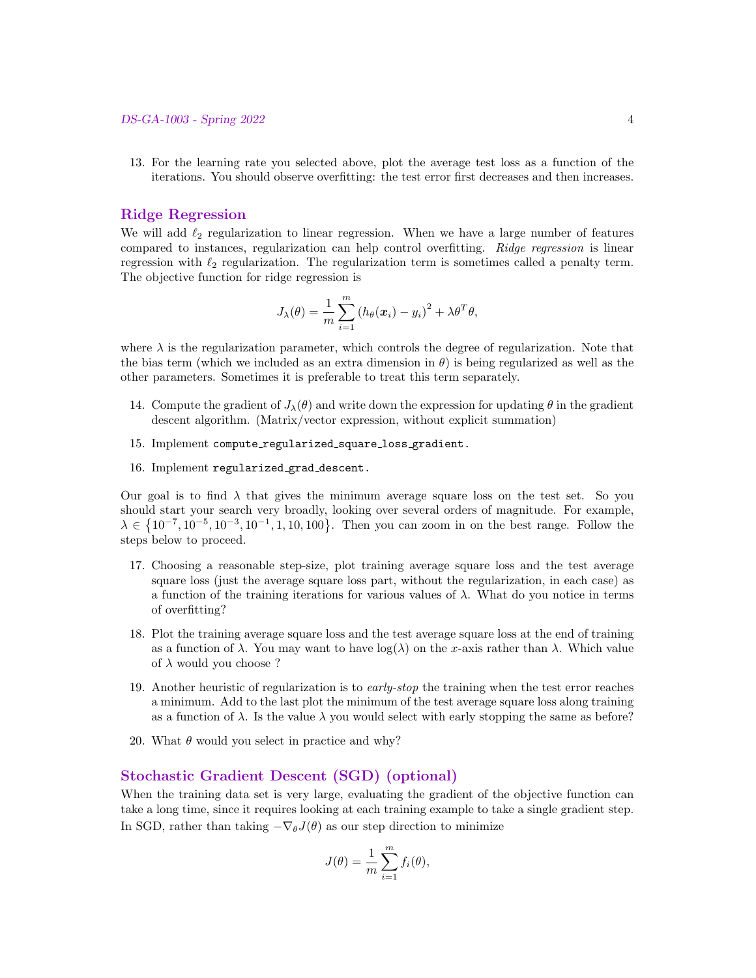13. For the learning rate you selected above, plot the average test loss as a function of the iterations. You should observe overfitting: the test error first decreases and then increases.

## Ridge Regression

We will add  $\ell_2$  regularization to linear regression. When we have a large number of features compared to instances, regularization can help control overfitting. Ridge regression is linear regression with  $\ell_2$  regularization. The regularization term is sometimes called a penalty term. The objective function for ridge regression is

$$
J_{\lambda}(\theta) = \frac{1}{m} \sum_{i=1}^{m} (h_{\theta}(\boldsymbol{x}_i) - y_i)^2 + \lambda \theta^T \theta,
$$

where  $\lambda$  is the regularization parameter, which controls the degree of regularization. Note that the bias term (which we included as an extra dimension in  $\theta$ ) is being regularized as well as the other parameters. Sometimes it is preferable to treat this term separately.

- 14. Compute the gradient of  $J_{\lambda}(\theta)$  and write down the expression for updating  $\theta$  in the gradient descent algorithm. (Matrix/vector expression, without explicit summation)
- 15. Implement compute regularized square loss gradient.
- 16. Implement regularized grad descent.

Our goal is to find  $\lambda$  that gives the minimum average square loss on the test set. So you should start your search very broadly, looking over several orders of magnitude. For example,  $\lambda \in \{10^{-7}, 10^{-5}, 10^{-3}, 10^{-1}, 1, 10, 100\}$ . Then you can zoom in on the best range. Follow the steps below to proceed.

- 17. Choosing a reasonable step-size, plot training average square loss and the test average square loss (just the average square loss part, without the regularization, in each case) as a function of the training iterations for various values of  $\lambda$ . What do you notice in terms of overfitting?
- 18. Plot the training average square loss and the test average square loss at the end of training as a function of  $\lambda$ . You may want to have  $log(\lambda)$  on the x-axis rather than  $\lambda$ . Which value of  $\lambda$  would you choose ?
- 19. Another heuristic of regularization is to early-stop the training when the test error reaches a minimum. Add to the last plot the minimum of the test average square loss along training as a function of  $\lambda$ . Is the value  $\lambda$  you would select with early stopping the same as before?
- 20. What  $\theta$  would you select in practice and why?

## Stochastic Gradient Descent (SGD) (optional)

When the training data set is very large, evaluating the gradient of the objective function can take a long time, since it requires looking at each training example to take a single gradient step. In SGD, rather than taking  $-\nabla_{\theta}J(\theta)$  as our step direction to minimize

$$
J(\theta) = \frac{1}{m} \sum_{i=1}^{m} f_i(\theta),
$$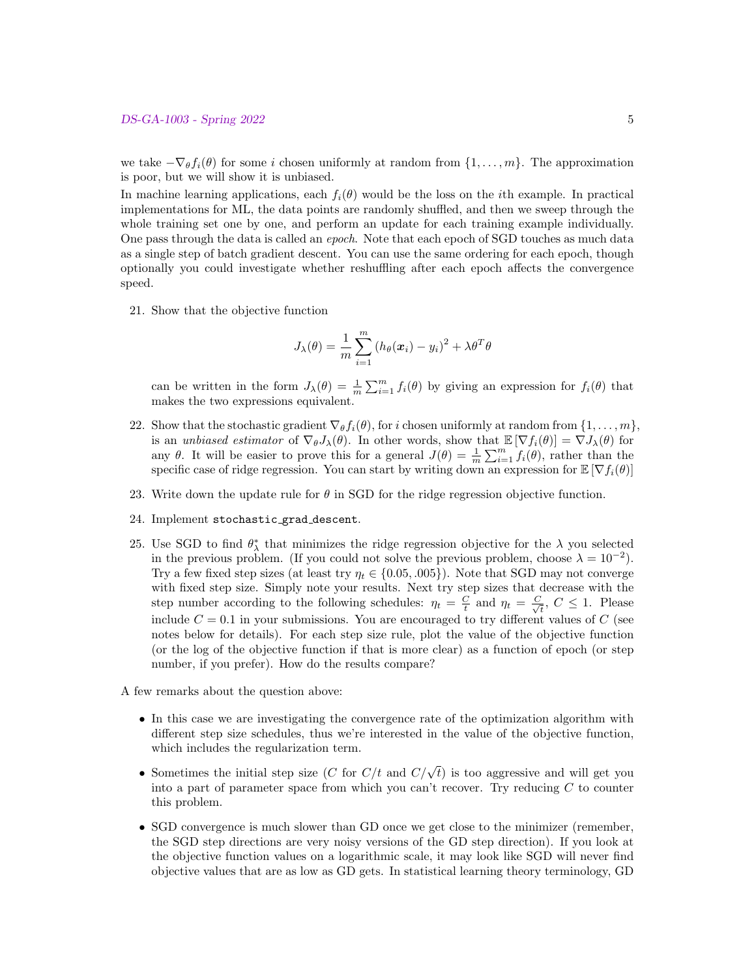we take  $-\nabla_{\theta} f_i(\theta)$  for some i chosen uniformly at random from  $\{1,\ldots,m\}$ . The approximation is poor, but we will show it is unbiased.

In machine learning applications, each  $f_i(\theta)$  would be the loss on the *i*th example. In practical implementations for ML, the data points are randomly shuffled, and then we sweep through the whole training set one by one, and perform an update for each training example individually. One pass through the data is called an epoch. Note that each epoch of SGD touches as much data as a single step of batch gradient descent. You can use the same ordering for each epoch, though optionally you could investigate whether reshuffling after each epoch affects the convergence speed.

21. Show that the objective function

$$
J_{\lambda}(\theta) = \frac{1}{m} \sum_{i=1}^{m} (h_{\theta}(\boldsymbol{x}_i) - y_i)^2 + \lambda \theta^T \theta
$$

can be written in the form  $J_{\lambda}(\theta) = \frac{1}{m} \sum_{i=1}^{m} f_i(\theta)$  by giving an expression for  $f_i(\theta)$  that makes the two expressions equivalent.

- 22. Show that the stochastic gradient  $\nabla_{\theta} f_i(\theta)$ , for i chosen uniformly at random from  $\{1, \ldots, m\}$ , is an unbiased estimator of  $\nabla_{\theta} J_{\lambda}(\theta)$ . In other words, show that  $\mathbb{E} [\nabla f_i(\theta)] = \nabla J_{\lambda}(\theta)$  for any  $\theta$ . It will be easier to prove this for a general  $J(\theta) = \frac{1}{m} \sum_{i=1}^{m} f_i(\theta)$ , rather than the specific case of ridge regression. You can start by writing down an expression for  $\mathbb{E}[\nabla f_i(\theta)]$
- 23. Write down the update rule for  $\theta$  in SGD for the ridge regression objective function.
- 24. Implement stochastic grad descent.
- 25. Use SGD to find  $\theta_{\lambda}^{*}$  that minimizes the ridge regression objective for the  $\lambda$  you selected in the previous problem. (If you could not solve the previous problem, choose  $\lambda = 10^{-2}$ ). Try a few fixed step sizes (at least try  $\eta_t \in \{0.05, .005\}$ ). Note that SGD may not converge with fixed step size. Simply note your results. Next try step sizes that decrease with the step number according to the following schedules:  $\eta_t = \frac{C}{t}$  and  $\eta_t = \frac{C}{\sqrt{2}}$  $\frac{1}{\overline{t}}$ ,  $C \leq 1$ . Please include  $C = 0.1$  in your submissions. You are encouraged to try different values of C (see notes below for details). For each step size rule, plot the value of the objective function (or the log of the objective function if that is more clear) as a function of epoch (or step number, if you prefer). How do the results compare?
- A few remarks about the question above:
	- In this case we are investigating the convergence rate of the optimization algorithm with different step size schedules, thus we're interested in the value of the objective function, which includes the regularization term.
	- Sometimes the initial step size (C for  $C/t$  and  $C/\sqrt{t}$ ) is too aggressive and will get you into a part of parameter space from which you can't recover. Try reducing  $C$  to counter this problem.
	- SGD convergence is much slower than GD once we get close to the minimizer (remember, the SGD step directions are very noisy versions of the GD step direction). If you look at the objective function values on a logarithmic scale, it may look like SGD will never find objective values that are as low as GD gets. In statistical learning theory terminology, GD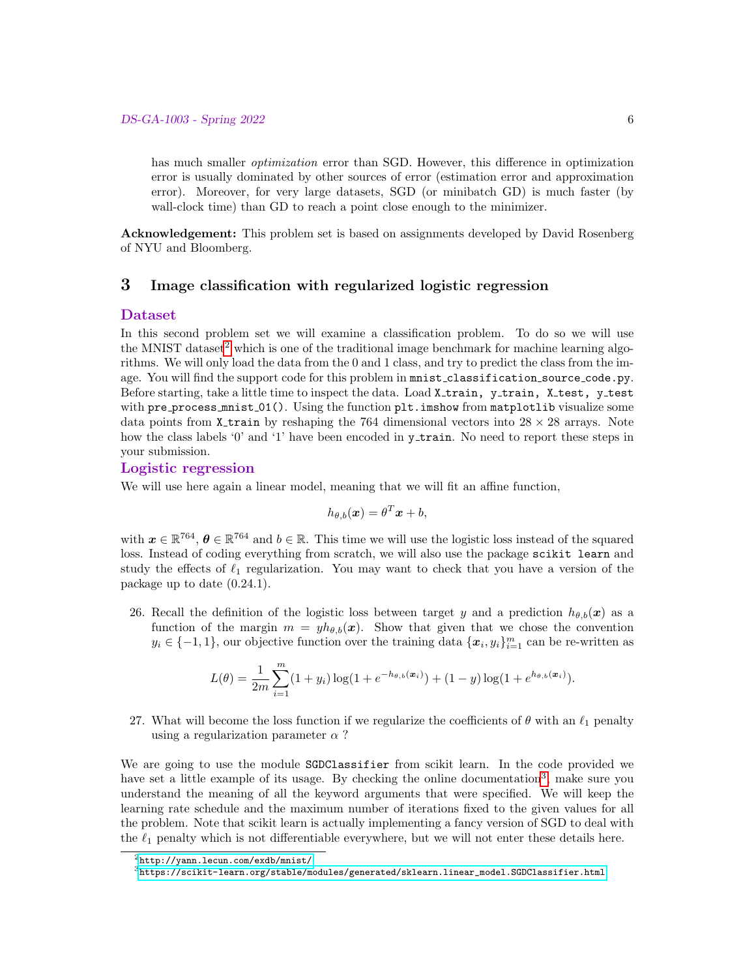has much smaller *optimization* error than SGD. However, this difference in optimization error is usually dominated by other sources of error (estimation error and approximation error). Moreover, for very large datasets, SGD (or minibatch GD) is much faster (by wall-clock time) than GD to reach a point close enough to the minimizer.

Acknowledgement: This problem set is based on assignments developed by David Rosenberg of NYU and Bloomberg.

# 3 Image classification with regularized logistic regression

### Dataset

In this second problem set we will examine a classification problem. To do so we will use the MNIST dataset<sup>[2](#page-5-0)</sup> which is one of the traditional image benchmark for machine learning algorithms. We will only load the data from the  $0$  and  $1$  class, and try to predict the class from the image. You will find the support code for this problem in mnist classification source code.py. Before starting, take a little time to inspect the data. Load X<sub>-train</sub>, y<sub>-train</sub>, X<sub>-test</sub>, y<sub>-test</sub> with pre\_process\_mnist\_01(). Using the function plt.imshow from matplotlib visualize some data points from X-train by reshaping the 764 dimensional vectors into  $28 \times 28$  arrays. Note how the class labels '0' and '1' have been encoded in y\_train. No need to report these steps in your submission.

## Logistic regression

We will use here again a linear model, meaning that we will fit an affine function,

$$
h_{\theta,b}(\boldsymbol{x}) = \theta^T \boldsymbol{x} + b,
$$

with  $x \in \mathbb{R}^{764}$ ,  $\theta \in \mathbb{R}^{764}$  and  $b \in \mathbb{R}$ . This time we will use the logistic loss instead of the squared loss. Instead of coding everything from scratch, we will also use the package scikit learn and study the effects of  $\ell_1$  regularization. You may want to check that you have a version of the package up to date (0.24.1).

26. Recall the definition of the logistic loss between target y and a prediction  $h_{\theta,b}(x)$  as a function of the margin  $m = yh_{\theta,b}(x)$ . Show that given that we chose the convention  $y_i \in \{-1, 1\}$ , our objective function over the training data  $\{\boldsymbol{x}_i, y_i\}_{i=1}^m$  can be re-written as

$$
L(\theta) = \frac{1}{2m} \sum_{i=1}^{m} (1 + y_i) \log(1 + e^{-h_{\theta, b}(\boldsymbol{x}_i)}) + (1 - y) \log(1 + e^{h_{\theta, b}(\boldsymbol{x}_i)}).
$$

27. What will become the loss function if we regularize the coefficients of  $\theta$  with an  $\ell_1$  penalty using a regularization parameter  $\alpha$ ?

We are going to use the module SGDClassifier from scikit learn. In the code provided we have set a little example of its usage. By checking the online documentation<sup>[3](#page-5-1)</sup>, make sure you understand the meaning of all the keyword arguments that were specified. We will keep the learning rate schedule and the maximum number of iterations fixed to the given values for all the problem. Note that scikit learn is actually implementing a fancy version of SGD to deal with the  $\ell_1$  penalty which is not differentiable everywhere, but we will not enter these details here.

<span id="page-5-0"></span> $^{2}$ <http://yann.lecun.com/exdb/mnist/>

<span id="page-5-1"></span> $^3$ [https://scikit-learn.org/stable/modules/generated/sklearn.linear\\_model.SGDClassifier.html](https://scikit-learn.org/stable/modules/generated/sklearn.linear_model.SGDClassifier.html)